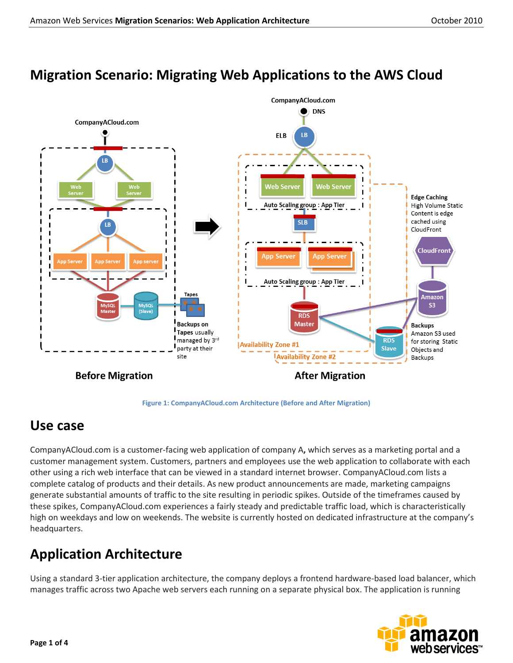# **Migration Scenario: Migrating Web Applications to the AWS Cloud**



**Figure 1: CompanyACloud.com Architecture (Before and After Migration)**

# **Use case**

CompanyACloud.com is a customer-facing web application of company A**,** which serves as a marketing portal and a customer management system. Customers, partners and employees use the web application to collaborate with each other using a rich web interface that can be viewed in a standard internet browser. CompanyACloud.com lists a complete catalog of products and their details. As new product announcements are made, marketing campaigns generate substantial amounts of traffic to the site resulting in periodic spikes. Outside of the timeframes caused by these spikes, CompanyACloud.com experiences a fairly steady and predictable traffic load, which is characteristically high on weekdays and low on weekends. The website is currently hosted on dedicated infrastructure at the company's headquarters.

# **Application Architecture**

Using a standard 3-tier application architecture, the company deploys a frontend hardware-based load balancer, which manages traffic across two Apache web servers each running on a separate physical box. The application is running

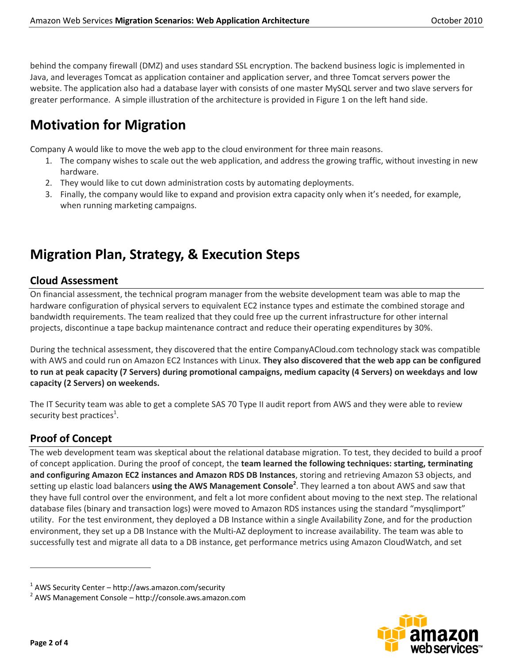behind the company firewall (DMZ) and uses standard SSL encryption. The backend business logic is implemented in Java, and leverages Tomcat as application container and application server, and three Tomcat servers power the website. The application also had a database layer with consists of one master MySQL server and two slave servers for greater performance. A simple illustration of the architecture is provided in Figure 1 on the left hand side.

## **Motivation for Migration**

Company A would like to move the web app to the cloud environment for three main reasons.

- 1. The company wishes to scale out the web application, and address the growing traffic, without investing in new hardware.
- 2. They would like to cut down administration costs by automating deployments.
- 3. Finally, the company would like to expand and provision extra capacity only when it's needed, for example, when running marketing campaigns.

### **Migration Plan, Strategy, & Execution Steps**

### **Cloud Assessment**

On financial assessment, the technical program manager from the website development team was able to map the hardware configuration of physical servers to equivalent EC2 instance types and estimate the combined storage and bandwidth requirements. The team realized that they could free up the current infrastructure for other internal projects, discontinue a tape backup maintenance contract and reduce their operating expenditures by 30%.

During the technical assessment, they discovered that the entire CompanyACloud.com technology stack was compatible with AWS and could run on Amazon EC2 Instances with Linux. **They also discovered that the web app can be configured to run at peak capacity (7 Servers) during promotional campaigns, medium capacity (4 Servers) on weekdays and low capacity (2 Servers) on weekends.** 

The IT Security team was able to get a complete SAS 70 Type II audit report from AWS and they were able to review security best practices<sup>1</sup>.

### **Proof of Concept**

The web development team was skeptical about the relational database migration. To test, they decided to build a proof of concept application. During the proof of concept, the **team learned the following techniques: starting, terminating and configuring Amazon EC2 instances and Amazon RDS DB Instances**, storing and retrieving Amazon S3 objects, and setting up elastic load balancers **using the AWS Management Console<sup>2</sup>** . They learned a ton about AWS and saw that they have full control over the environment, and felt a lot more confident about moving to the next step. The relational database files (binary and transaction logs) were moved to Amazon RDS instances using the standard "mysqlimport" utility. For the test environment, they deployed a DB Instance within a single Availability Zone, and for the production environment, they set up a DB Instance with the Multi-AZ deployment to increase availability. The team was able to successfully test and migrate all data to a DB instance, get performance metrics using Amazon CloudWatch, and set



 $\overline{a}$ 

<sup>&</sup>lt;sup>1</sup> AWS Security Center – http://aws.amazon.com/security

<sup>2</sup> AWS Management Console – http://console.aws.amazon.com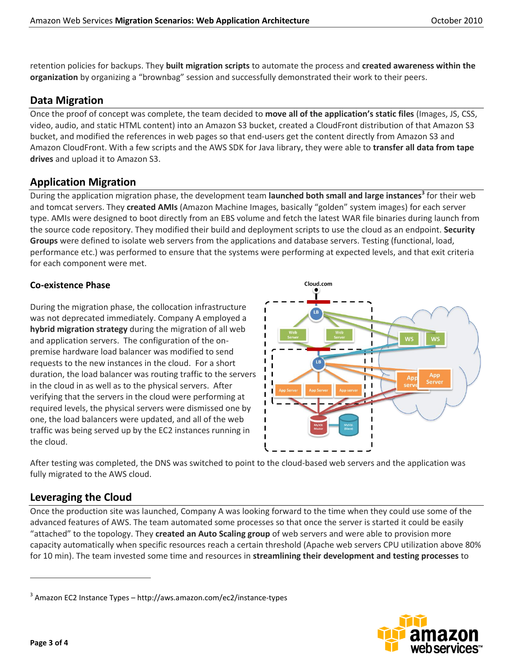retention policies for backups. They **built migration scripts** to automate the process and **created awareness within the organization** by organizing a "brownbag" session and successfully demonstrated their work to their peers.

#### **Data Migration**

Once the proof of concept was complete, the team decided to **move all of the application's static files** (Images, JS, CSS, video, audio, and static HTML content) into an Amazon S3 bucket, created a CloudFront distribution of that Amazon S3 bucket, and modified the references in web pages so that end-users get the content directly from Amazon S3 and Amazon CloudFront. With a few scripts and the AWS SDK for Java library, they were able to **transfer all data from tape drives** and upload it to Amazon S3.

#### **Application Migration**

During the application migration phase, the development team **launched both small and large instances<sup>3</sup>** for their web and tomcat servers. They **created AMIs** (Amazon Machine Images, basically "golden" system images) for each server type. AMIs were designed to boot directly from an EBS volume and fetch the latest WAR file binaries during launch from the source code repository. They modified their build and deployment scripts to use the cloud as an endpoint. **Security Groups** were defined to isolate web servers from the applications and database servers. Testing (functional, load, performance etc.) was performed to ensure that the systems were performing at expected levels, and that exit criteria for each component were met.

#### **Co-existence Phase**

During the migration phase, the collocation infrastructure was not deprecated immediately. Company A employed a **hybrid migration strategy** during the migration of all web and application servers. The configuration of the onpremise hardware load balancer was modified to send requests to the new instances in the cloud. For a short duration, the load balancer was routing traffic to the servers in the cloud in as well as to the physical servers. After verifying that the servers in the cloud were performing at required levels, the physical servers were dismissed one by one, the load balancers were updated, and all of the web traffic was being served up by the EC2 instances running in the cloud.



After testing was completed, the DNS was switched to point to the cloud-based web servers and the application was fully migrated to the AWS cloud.

### **Leveraging the Cloud**

Once the production site was launched, Company A was looking forward to the time when they could use some of the advanced features of AWS. The team automated some processes so that once the server is started it could be easily "attached" to the topology. They **created an Auto Scaling group** of web servers and were able to provision more capacity automatically when specific resources reach a certain threshold (Apache web servers CPU utilization above 80% for 10 min). The team invested some time and resources in **streamlining their development and testing processes** to



 $\overline{a}$ 

<sup>&</sup>lt;sup>3</sup> Amazon EC2 Instance Types – http://aws.amazon.com/ec2/instance-types